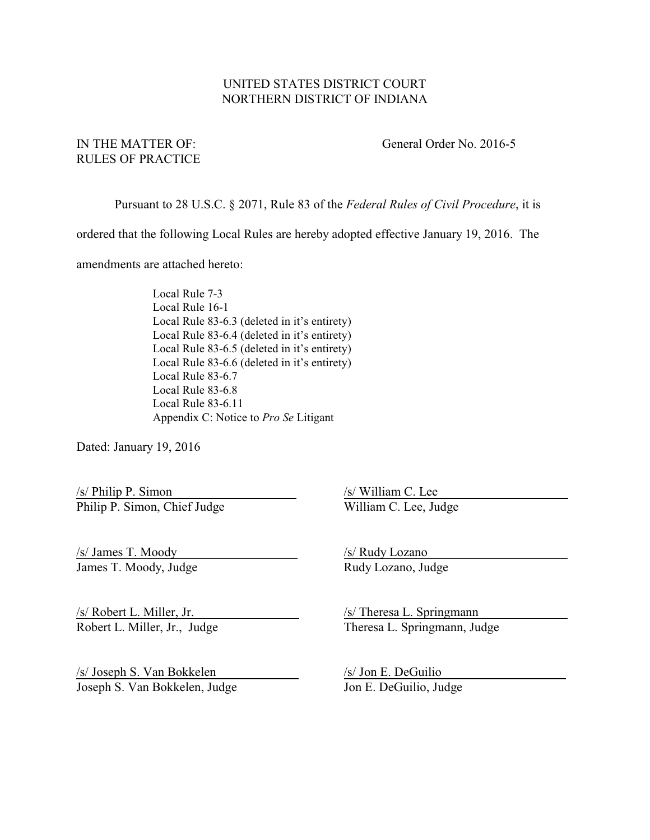#### UNITED STATES DISTRICT COURT NORTHERN DISTRICT OF INDIANA

# RULES OF PRACTICE

IN THE MATTER OF: General Order No. 2016-5

Pursuant to 28 U.S.C. § 2071, Rule 83 of the *Federal Rules of Civil Procedure*, it is

ordered that the following Local Rules are hereby adopted effective January 19, 2016. The

amendments are attached hereto:

Local Rule 7-3 Local Rule 16-1 Local Rule 83-6.3 (deleted in it's entirety) Local Rule 83-6.4 (deleted in it's entirety) Local Rule 83-6.5 (deleted in it's entirety) Local Rule 83-6.6 (deleted in it's entirety) Local Rule 83-6.7 Local Rule 83-6.8 Local Rule 83-6.11 Appendix C: Notice to *Pro Se* Litigant

Dated: January 19, 2016

/s/ Philip P. Simon /s/ William C. Lee Philip P. Simon, Chief Judge William C. Lee, Judge

*s*/ James T. Moody *S*/ Budy Lozano<br>James T. Moody, Judge Rudy Lozano, Judge James T. Moody, Judge

(s/ Joseph S. Van Bokkelen /s/ Jon E. DeGuilio /s/ Joseph S. Van Bokkelen, Judge /s/ Jon E. DeGuilio, Judge Joseph S. Van Bokkelen, Judge

*(s/ Robert L. Miller, Jr. Judge /s/ Theresa L. Springmann /s/ Theresa L. Springmann Judge /s/ Theresa L. Springmann, Judge /s/ Theresa L. Springmann, Judge /s/ Theresa L. Springmann, Judge /s/ Theresa L. Springmann, Judge* Theresa L. Springmann, Judge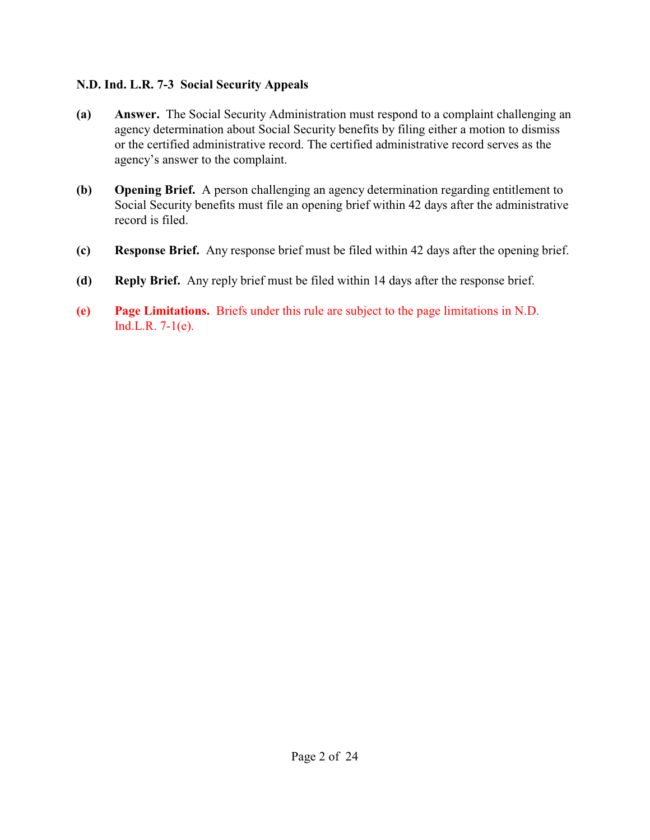#### **N.D. Ind. L.R. 7-3 Social Security Appeals**

- **(a) Answer.** The Social Security Administration must respond to a complaint challenging an agency determination about Social Security benefits by filing either a motion to dismiss or the certified administrative record. The certified administrative record serves as the agency's answer to the complaint.
- **(b) Opening Brief.** A person challenging an agency determination regarding entitlement to Social Security benefits must file an opening brief within 42 days after the administrative record is filed.
- **(c) Response Brief.** Any response brief must be filed within 42 days after the opening brief.
- **(d) Reply Brief.** Any reply brief must be filed within 14 days after the response brief.
- **(e) Page Limitations.** Briefs under this rule are subject to the page limitations in N.D. Ind.L.R. 7-1(e).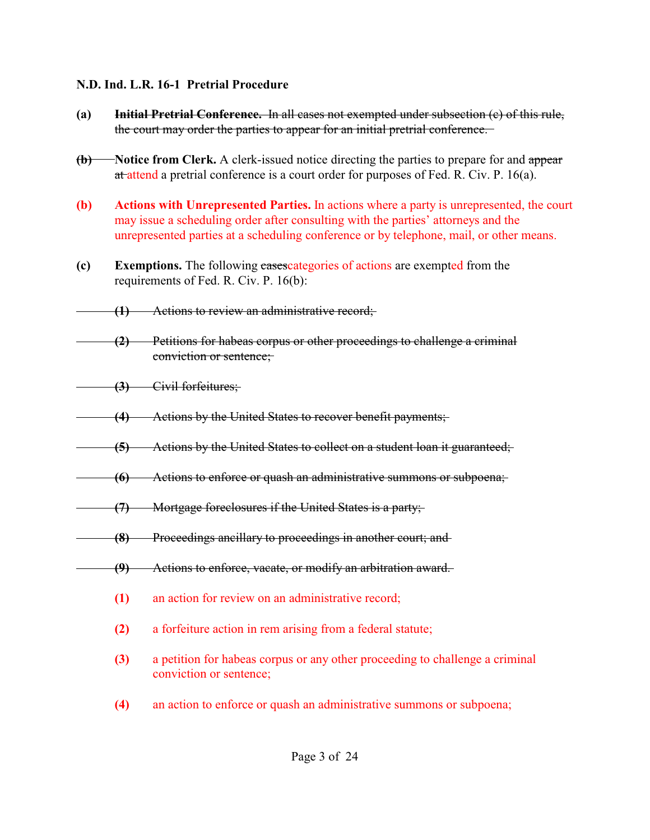#### **N.D. Ind. L.R. 16-1 Pretrial Procedure**

- **(a) Initial Pretrial Conference.** In all cases not exempted under subsection (c) of this rule, the court may order the parties to appear for an initial pretrial conference.
- **(b) Notice from Clerk.** A clerk-issued notice directing the parties to prepare for and appear at attend a pretrial conference is a court order for purposes of Fed. R. Civ. P. 16(a).
- **(b) Actions with Unrepresented Parties.** In actions where a party is unrepresented, the court may issue a scheduling order after consulting with the parties' attorneys and the unrepresented parties at a scheduling conference or by telephone, mail, or other means.
- **(c) Exemptions.** The following casescategories of actions are exempted from the requirements of Fed. R. Civ. P. 16(b):
- **(1)** Actions to review an administrative record;
- **(2)** Petitions for habeas corpus or other proceedings to challenge a criminal conviction or sentence;
- **(3)** Civil forfeitures;
- **(4)** Actions by the United States to recover benefit payments;
- **(5)** Actions by the United States to collect on a student loan it guaranteed;
- **(6)** Actions to enforce or quash an administrative summons or subpoena;
- **(7)** Mortgage foreclosures if the United States is a party;
- **(8)** Proceedings ancillary to proceedings in another court; and
	- **(9)** Actions to enforce, vacate, or modify an arbitration award.
		- **(1)** an action for review on an administrative record;
		- **(2)** a forfeiture action in rem arising from a federal statute;
		- **(3)** a petition for habeas corpus or any other proceeding to challenge a criminal conviction or sentence;
		- **(4)** an action to enforce or quash an administrative summons or subpoena;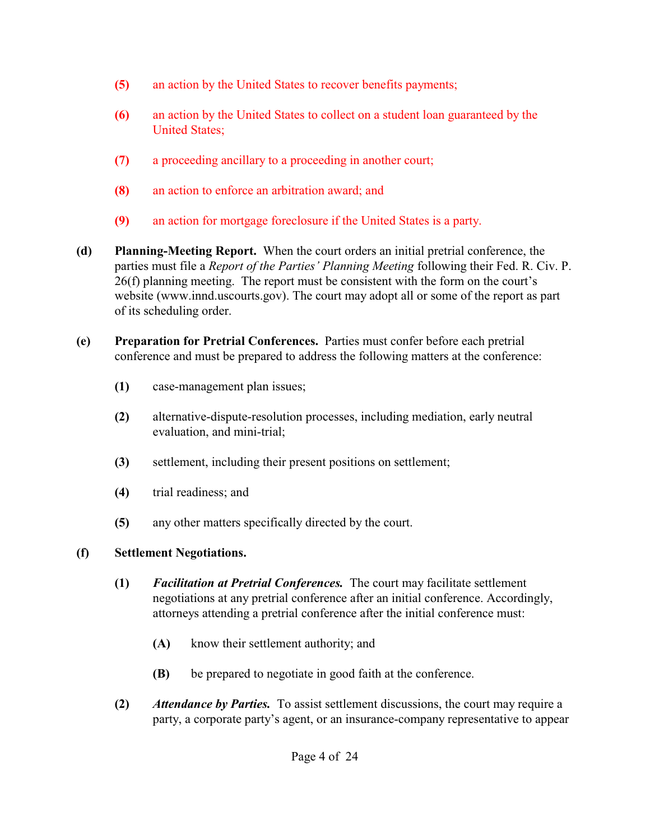- **(5)** an action by the United States to recover benefits payments;
- **(6)** an action by the United States to collect on a student loan guaranteed by the United States;
- **(7)** a proceeding ancillary to a proceeding in another court;
- **(8)** an action to enforce an arbitration award; and
- **(9)** an action for mortgage foreclosure if the United States is a party.
- **(d) Planning-Meeting Report.** When the court orders an initial pretrial conference, the parties must file a *Report of the Parties' Planning Meeting* following their Fed. R. Civ. P. 26(f) planning meeting. The report must be consistent with the form on the court's website (www.innd.uscourts.gov). The court may adopt all or some of the report as part of its scheduling order.
- **(e) Preparation for Pretrial Conferences.** Parties must confer before each pretrial conference and must be prepared to address the following matters at the conference:
	- **(1)** case-management plan issues;
	- **(2)** alternative-dispute-resolution processes, including mediation, early neutral evaluation, and mini-trial;
	- **(3)** settlement, including their present positions on settlement;
	- **(4)** trial readiness; and
	- **(5)** any other matters specifically directed by the court.

# **(f) Settlement Negotiations.**

- **(1)** *Facilitation at Pretrial Conferences.* The court may facilitate settlement negotiations at any pretrial conference after an initial conference. Accordingly, attorneys attending a pretrial conference after the initial conference must:
	- **(A)** know their settlement authority; and
	- **(B)** be prepared to negotiate in good faith at the conference.
- **(2)** *Attendance by Parties.* To assist settlement discussions, the court may require a party, a corporate party's agent, or an insurance-company representative to appear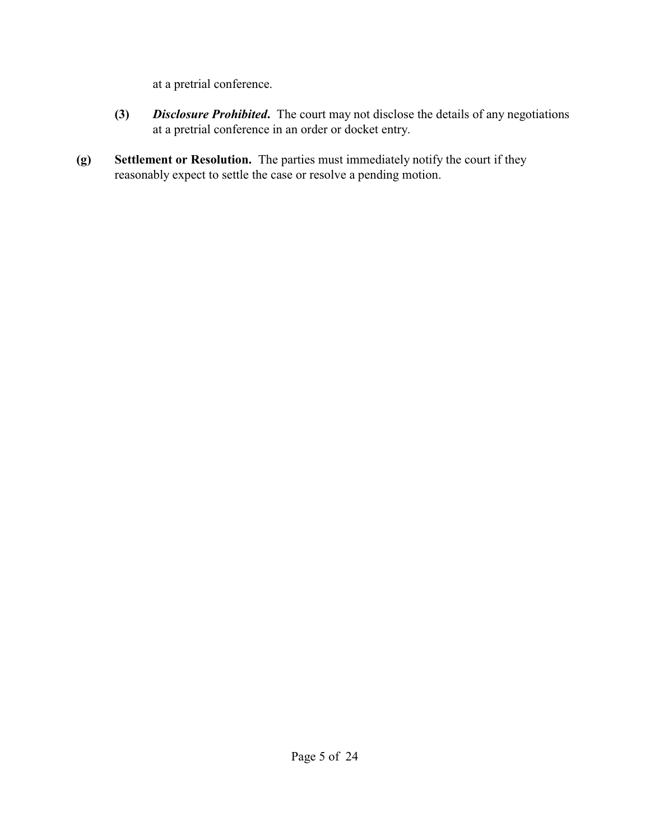at a pretrial conference.

- **(3)** *Disclosure Prohibited***.** The court may not disclose the details of any negotiations at a pretrial conference in an order or docket entry.
- **(g) Settlement or Resolution.** The parties must immediately notify the court if they reasonably expect to settle the case or resolve a pending motion.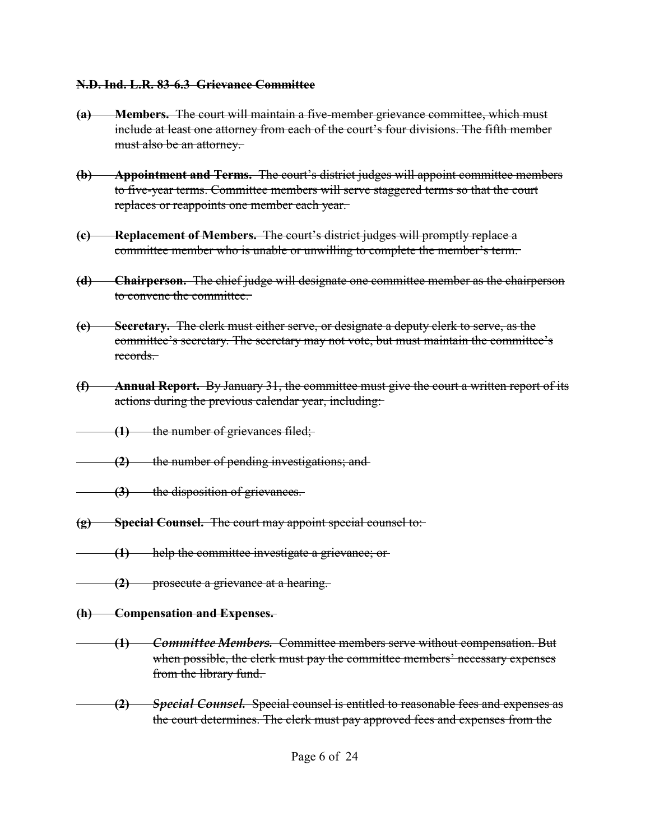#### **N.D. Ind. L.R. 83-6.3 Grievance Committee**

- **(a) Members.** The court will maintain a five-member grievance committee, which must include at least one attorney from each of the court's four divisions. The fifth member must also be an attorney.
- **(b) Appointment and Terms.** The court's district judges will appoint committee members to five-year terms. Committee members will serve staggered terms so that the court replaces or reappoints one member each year.
- **(c) Replacement of Members.** The court's district judges will promptly replace a committee member who is unable or unwilling to complete the member's term.
- **(d) Chairperson.** The chief judge will designate one committee member as the chairperson to convene the committee.
- **(e) Secretary.** The clerk must either serve, or designate a deputy clerk to serve, as the committee's secretary. The secretary may not vote, but must maintain the committee's records.
- **(f) Annual Report.** By January 31, the committee must give the court a written report of its actions during the previous calendar year, including:
- **(1)** the number of grievances filed;
- **(2)** the number of pending investigations; and
- **(3)** the disposition of grievances.
- **(g) Special Counsel.** The court may appoint special counsel to:
- **(1)** help the committee investigate a grievance; or
- **(2)** prosecute a grievance at a hearing.
- **(h) Compensation and Expenses.** 
	- **(1)** *Committee Members.* Committee members serve without compensation. But when possible, the clerk must pay the committee members' necessary expenses from the library fund.
- **(2)** *Special Counsel.* Special counsel is entitled to reasonable fees and expenses as the court determines. The clerk must pay approved fees and expenses from the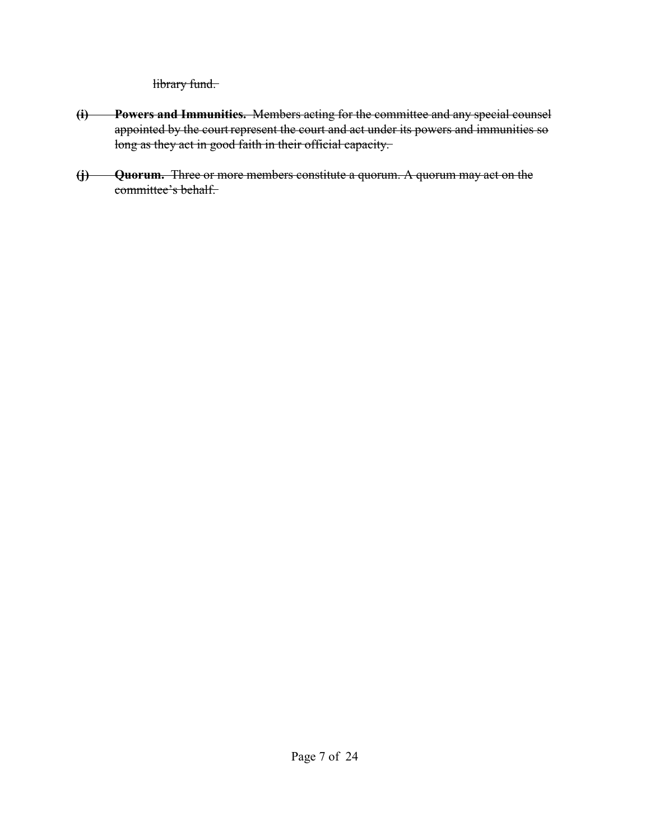library fund.

- **(i) Powers and Immunities.** Members acting for the committee and any special counsel appointed by the court represent the court and act under its powers and immunities so long as they act in good faith in their official capacity.
- **(j) Quorum.** Three or more members constitute a quorum. A quorum may act on the committee's behalf.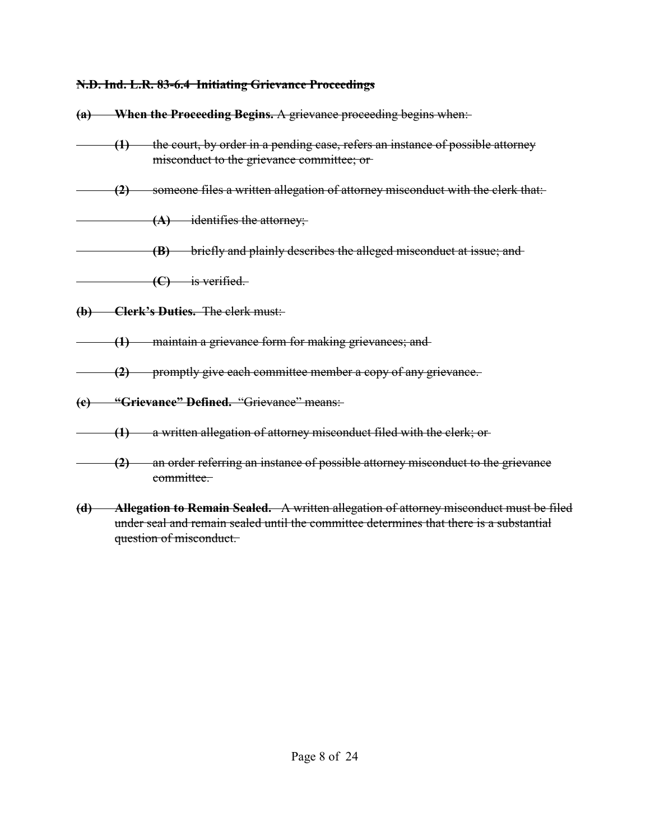#### **N.D. Ind. L.R. 83-6.4 Initiating Grievance Proceedings**

- **(a) When the Proceeding Begins.** A grievance proceeding begins when:
- **(1)** the court, by order in a pending case, refers an instance of possible attorney misconduct to the grievance committee; or
- **(2)** someone files a written allegation of attorney misconduct with the clerk that:
	- **(A)** identifies the attorney;
- **(B)** briefly and plainly describes the alleged misconduct at issue; and
- **(C)** is verified.
- **(b) Clerk's Duties.** The clerk must:
- **(1)** maintain a grievance form for making grievances; and
- **(2)** promptly give each committee member a copy of any grievance.
- **(c) "Grievance" Defined.** "Grievance" means:
- **(1)** a written allegation of attorney misconduct filed with the clerk; or
- **(2)** an order referring an instance of possible attorney misconduct to the grievance committee.
- **(d) Allegation to Remain Sealed.** A written allegation of attorney misconduct must be filed under seal and remain sealed until the committee determines that there is a substantial question of misconduct.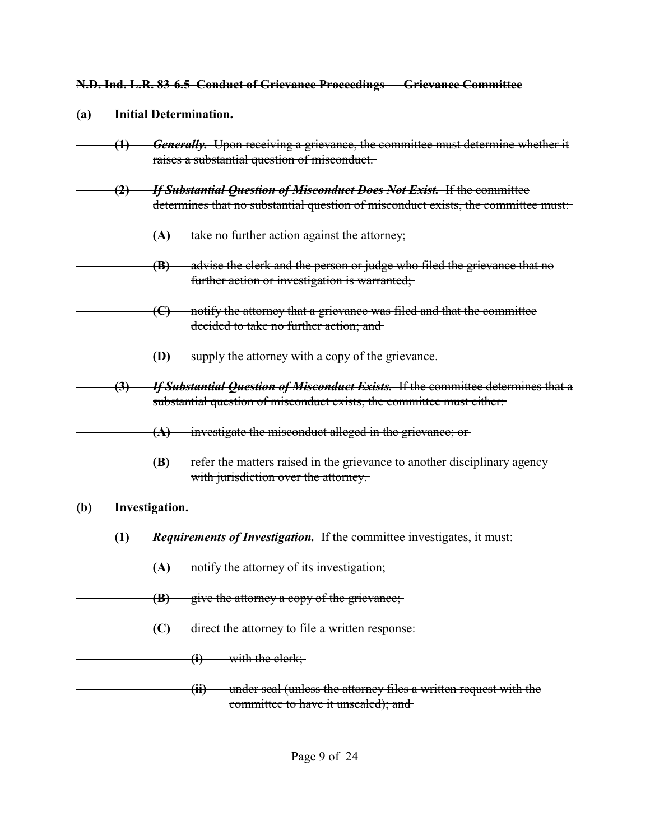#### **N.D. Ind. L.R. 83-6.5 Conduct of Grievance Proceedings — Grievance Committee**

#### **(a) Initial Determination.**

- **(1)** *Generally.* Upon receiving a grievance, the committee must determine whether it raises a substantial question of misconduct.
- **(2)** *If Substantial Question of Misconduct Does Not Exist.* If the committee determines that no substantial question of misconduct exists, the committee must:
	- **(A)** take no further action against the attorney;
		- **(B)** advise the clerk and the person or judge who filed the grievance that no further action or investigation is warranted;
	- **(C)** notify the attorney that a grievance was filed and that the committee decided to take no further action; and
- **(D)** supply the attorney with a copy of the grievance.
- **(3)** *If Substantial Question of Misconduct Exists.* If the committee determines that a substantial question of misconduct exists, the committee must either:
	- **(A)** investigate the misconduct alleged in the grievance; or
- **(B)** refer the matters raised in the grievance to another disciplinary agency with jurisdiction over the attorney.
- **(b) Investigation.**
- **(1)** *Requirements of Investigation.* If the committee investigates, it must:
- **(A)** notify the attorney of its investigation;
- **(B)** give the attorney a copy of the grievance;
- **(C)** direct the attorney to file a written response:
	- **(i)** with the clerk;
		- **(ii)** under seal (unless the attorney files a written request with the committee to have it unsealed); and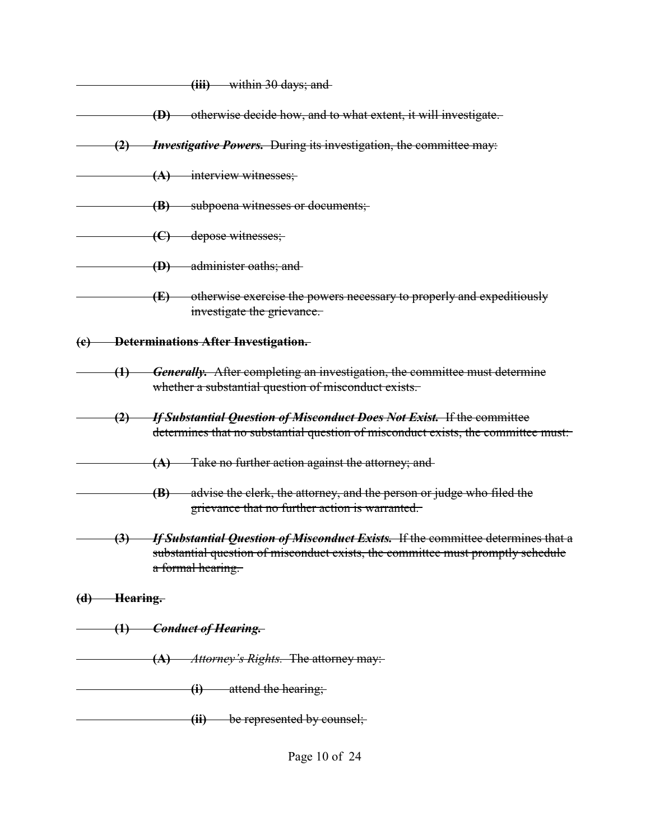|                 |                                              | <del>- within 30 days; and</del><br><del>(iii)</del>                                                                                                                                     |  |  |  |
|-----------------|----------------------------------------------|------------------------------------------------------------------------------------------------------------------------------------------------------------------------------------------|--|--|--|
|                 |                                              | otherwise decide how, and to what extent, it will investigate.<br>$\bigoplus$                                                                                                            |  |  |  |
|                 | $\left( 2 \right)$                           | <b>Investigative Powers.</b> During its investigation, the committee may:                                                                                                                |  |  |  |
|                 |                                              | interview witnesses;<br>(A)                                                                                                                                                              |  |  |  |
|                 |                                              | subpoena witnesses or documents;<br>$\langle \mathbf{B} \rangle$                                                                                                                         |  |  |  |
|                 |                                              | $\Theta$<br>depose witnesses;                                                                                                                                                            |  |  |  |
|                 |                                              | $\bigoplus$<br>administer oaths; and                                                                                                                                                     |  |  |  |
|                 |                                              | otherwise exereise the powers necessary to properly and expeditiously<br>$\times$<br>investigate the grievance.                                                                          |  |  |  |
| (e)             | <b>Determinations After Investigation.</b>   |                                                                                                                                                                                          |  |  |  |
|                 | $\left(4\right)$                             | <b>Generally.</b> After completing an investigation, the committee must determine<br>whether a substantial question of misconduct exists.                                                |  |  |  |
|                 | (2)                                          | If Substantial Question of Misconduct Does Not Exist. If the committee<br>determines that no substantial question of misconduct exists, the committee must:-                             |  |  |  |
|                 |                                              | Take no further action against the attorney; and<br>(A)                                                                                                                                  |  |  |  |
|                 |                                              | advise the clerk, the attorney, and the person or judge who filed the<br>$\left( \mathbf{B}\right)$<br>grievance that no further action is warranted.                                    |  |  |  |
|                 | $\left(3\right)$                             | If Substantial Question of Misconduct Exists. If the committee determines that a<br>substantial question of misconduct exists, the committee must promptly schedule<br>a formal hearing. |  |  |  |
| Hearing.<br>(d) |                                              |                                                                                                                                                                                          |  |  |  |
|                 | <del>- Conduct of Hearing.</del><br>$\Theta$ |                                                                                                                                                                                          |  |  |  |
|                 |                                              | <i>Attorney's Rights.</i> The attorney may:<br>(A)                                                                                                                                       |  |  |  |
|                 |                                              | attend the hearing;<br>$\ddot{\mathbf{u}}$                                                                                                                                               |  |  |  |
|                 |                                              | be represented by counsel;<br>(ii)                                                                                                                                                       |  |  |  |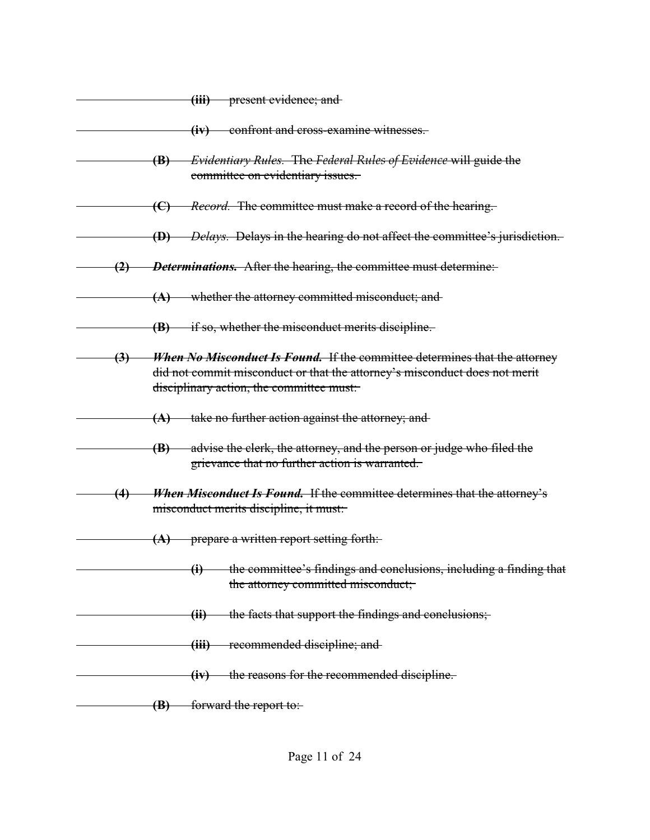|                                                                                                                                                                                                                                 | (iii) present evidence; and                                                                                                                           |  |  |  |  |
|---------------------------------------------------------------------------------------------------------------------------------------------------------------------------------------------------------------------------------|-------------------------------------------------------------------------------------------------------------------------------------------------------|--|--|--|--|
|                                                                                                                                                                                                                                 | confront and cross-examine witnesses.<br><del>(iv)</del>                                                                                              |  |  |  |  |
|                                                                                                                                                                                                                                 | <i>Evidentiary Rules.</i> The Federal Rules of Evidence will guide the<br>$\left( \mathbf{B}\right)$<br>committee on evidentiary issues.              |  |  |  |  |
|                                                                                                                                                                                                                                 | <i>Record.</i> The committee must make a record of the hearing.<br>⊖                                                                                  |  |  |  |  |
|                                                                                                                                                                                                                                 | (D) Delays. Delays in the hearing do not affect the committee's jurisdiction.                                                                         |  |  |  |  |
| <b>Determinations.</b> After the hearing, the committee must determine:<br>$\left( 2\right)$                                                                                                                                    |                                                                                                                                                       |  |  |  |  |
|                                                                                                                                                                                                                                 | (A) whether the attorney committed misconduct; and                                                                                                    |  |  |  |  |
|                                                                                                                                                                                                                                 | if so, whether the misconduct merits discipline.<br>$\left( \mathbf{B}\right)$                                                                        |  |  |  |  |
| <b>When No Misconduct Is Found.</b> If the committee determines that the attorney<br>$\left(3\right)$<br>did not commit misconduct or that the attorney's misconduct does not merit<br>disciplinary action, the committee must: |                                                                                                                                                       |  |  |  |  |
| take no further action against the attorney; and<br>(A)                                                                                                                                                                         |                                                                                                                                                       |  |  |  |  |
|                                                                                                                                                                                                                                 | advise the elerk, the attorney, and the person or judge who filed the<br>$\left( \mathbf{B}\right)$<br>grievance that no further action is warranted. |  |  |  |  |
| <b>When Misconduct Is Found.</b> If the committee determines that the attorney's<br>(4)<br>misconduct merits discipline, it must:                                                                                               |                                                                                                                                                       |  |  |  |  |
|                                                                                                                                                                                                                                 | - prepare a written report setting forth:<br>(A)                                                                                                      |  |  |  |  |
|                                                                                                                                                                                                                                 | the committee's findings and conclusions, including a finding that<br>$\bf(\bf i)$<br>the attorney committed misconduct;                              |  |  |  |  |
|                                                                                                                                                                                                                                 | the facts that support the findings and conclusions;<br><del>(ii)</del>                                                                               |  |  |  |  |
|                                                                                                                                                                                                                                 | recommended discipline; and<br><del>(iii)</del>                                                                                                       |  |  |  |  |
|                                                                                                                                                                                                                                 | the reasons for the recommended discipline.<br>(iv)                                                                                                   |  |  |  |  |
|                                                                                                                                                                                                                                 | forward the report to:<br>$\left( \mathbf{B}\right)$                                                                                                  |  |  |  |  |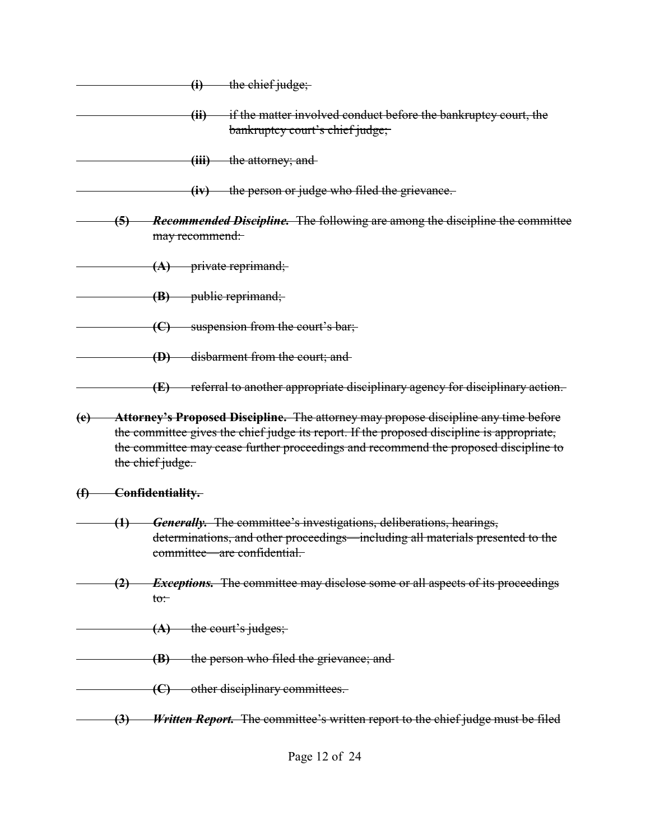|             |                                                                                                                                                                                                                                                                                               | $\bf{(i)}$                                                                                                                                                                                  | the chief judge;                                                                                   |  |  |  |  |
|-------------|-----------------------------------------------------------------------------------------------------------------------------------------------------------------------------------------------------------------------------------------------------------------------------------------------|---------------------------------------------------------------------------------------------------------------------------------------------------------------------------------------------|----------------------------------------------------------------------------------------------------|--|--|--|--|
|             |                                                                                                                                                                                                                                                                                               | <del>(ii)</del>                                                                                                                                                                             | if the matter involved conduct before the bankruptey court, the<br>bankruptcy court's chief judge; |  |  |  |  |
|             |                                                                                                                                                                                                                                                                                               |                                                                                                                                                                                             | (iii) the attorney; and                                                                            |  |  |  |  |
|             |                                                                                                                                                                                                                                                                                               |                                                                                                                                                                                             | (iv) the person or judge who filed the grievance.                                                  |  |  |  |  |
|             | Recommended Discipline. The following are among the discipline the committee<br><del>(5)</del><br>may recommend:                                                                                                                                                                              |                                                                                                                                                                                             |                                                                                                    |  |  |  |  |
|             |                                                                                                                                                                                                                                                                                               | (A)                                                                                                                                                                                         | <i>private reprimand;</i>                                                                          |  |  |  |  |
|             |                                                                                                                                                                                                                                                                                               | $\left( \mathbf{B}\right)$                                                                                                                                                                  | public reprimand;                                                                                  |  |  |  |  |
|             |                                                                                                                                                                                                                                                                                               |                                                                                                                                                                                             | suspension from the court's bar;                                                                   |  |  |  |  |
|             |                                                                                                                                                                                                                                                                                               | $\bigoplus$                                                                                                                                                                                 | disbarment from the court; and                                                                     |  |  |  |  |
|             |                                                                                                                                                                                                                                                                                               | $\times$                                                                                                                                                                                    | referral to another appropriate disciplinary agency for disciplinary action.                       |  |  |  |  |
| (e)         | Attorney's Proposed Discipline. The attorney may propose discipline any time before<br>the committee gives the chief judge its report. If the proposed discipline is appropriate,<br>the committee may cease further proceedings and recommend the proposed discipline to<br>the chief judge. |                                                                                                                                                                                             |                                                                                                    |  |  |  |  |
| $\bigoplus$ |                                                                                                                                                                                                                                                                                               | Confidentiality.                                                                                                                                                                            |                                                                                                    |  |  |  |  |
|             | $\bm{\theta}$                                                                                                                                                                                                                                                                                 | <b>Generally.</b> The committee's investigations, deliberations, hearings,<br>determinations, and other proceedings—including all materials presented to the<br>committee—are confidential. |                                                                                                    |  |  |  |  |
|             | (2)                                                                                                                                                                                                                                                                                           | $\mathfrak{t}\mathfrak{o}$ :                                                                                                                                                                | <i>Exceptions.</i> The committee may disclose some or all aspects of its proceedings               |  |  |  |  |
|             |                                                                                                                                                                                                                                                                                               | $(A)$ the court's judges;                                                                                                                                                                   |                                                                                                    |  |  |  |  |
|             |                                                                                                                                                                                                                                                                                               | $\left( \mathbf{B}\right)$                                                                                                                                                                  | the person who filed the grievance; and                                                            |  |  |  |  |
|             |                                                                                                                                                                                                                                                                                               |                                                                                                                                                                                             | (C) other disciplinary committees.                                                                 |  |  |  |  |
|             | $\left(3\right)$                                                                                                                                                                                                                                                                              |                                                                                                                                                                                             | <b>Written Report.</b> The committee's written report to the chief judge must be filed             |  |  |  |  |
|             |                                                                                                                                                                                                                                                                                               |                                                                                                                                                                                             |                                                                                                    |  |  |  |  |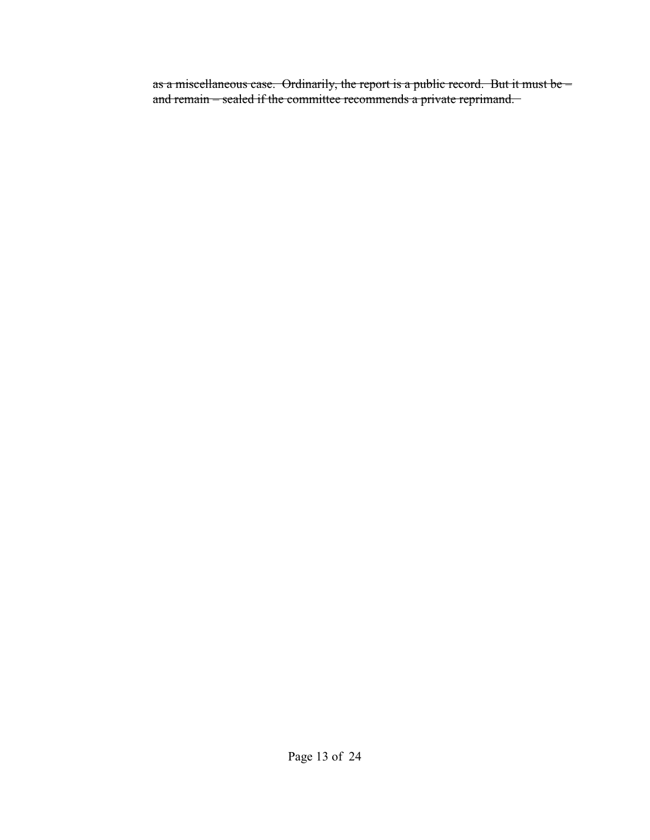as a miscellaneous case. Ordinarily, the report is a public record. But it must be – and remain – sealed if the committee recommends a private reprimand.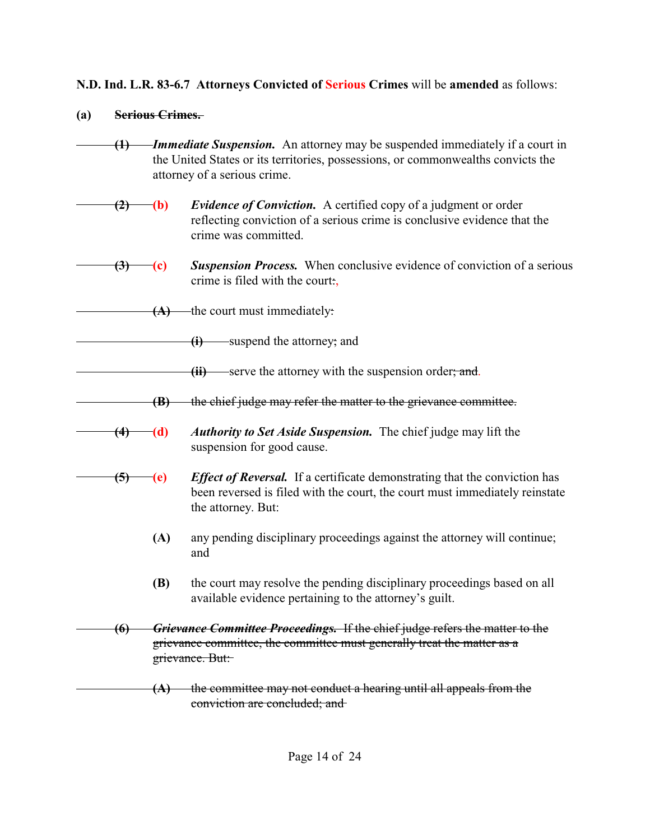**N.D. Ind. L.R. 83-6.7 Attorneys Convicted of Serious Crimes** will be **amended** as follows:

#### **(a) Serious Crimes.**

- **(1)** *Immediate Suspension.* An attorney may be suspended immediately if a court in the United States or its territories, possessions, or commonwealths convicts the attorney of a serious crime.
	- **(2) (b)** *Evidence of Conviction.* A certified copy of a judgment or order reflecting conviction of a serious crime is conclusive evidence that the crime was committed.
- **(3) (c)** *Suspension Process.* When conclusive evidence of conviction of a serious crime is filed with the court:,
	- **(A)** the court must immediately:
		- **(i)** suspend the attorney; and
		- **(iii)** serve the attorney with the suspension order; and.
		- **(B)** the chief judge may refer the matter to the grievance committee.



- **(4) (d)** *Authority to Set Aside Suspension.* The chief judge may lift the suspension for good cause.
- **(5) (e)** *Effect of Reversal.* If a certificate demonstrating that the conviction has been reversed is filed with the court, the court must immediately reinstate the attorney. But:
	- **(A)** any pending disciplinary proceedings against the attorney will continue; and
	- **(B)** the court may resolve the pending disciplinary proceedings based on all available evidence pertaining to the attorney's guilt.
- **(6)** *Grievance Committee Proceedings.* If the chief judge refers the matter to the grievance committee, the committee must generally treat the matter as a grievance. But:

**(A)** the committee may not conduct a hearing until all appeals from the conviction are concluded; and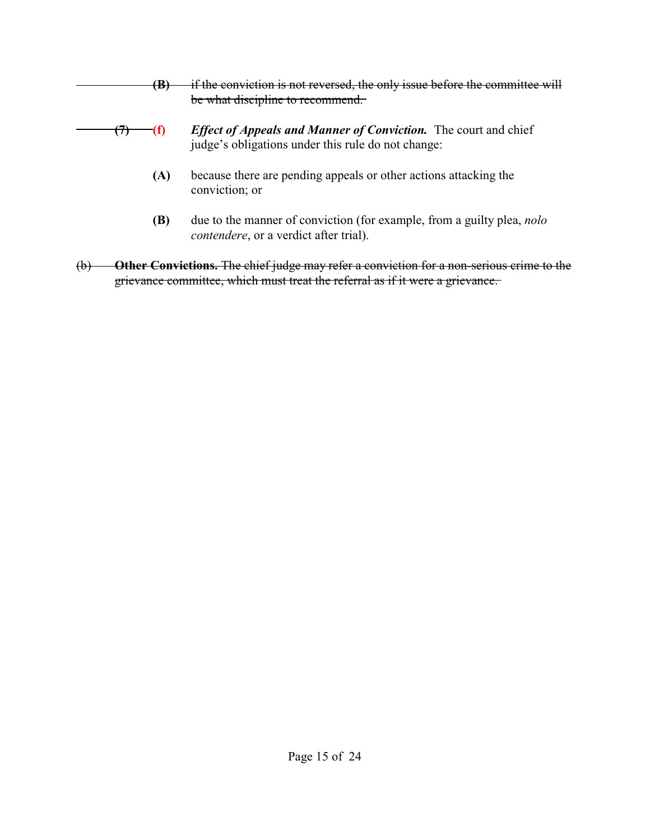| B   | if the conviction is not reversed, the only issue before the committee will<br>be what discipline to recommend.                 |
|-----|---------------------------------------------------------------------------------------------------------------------------------|
|     | <b>Effect of Appeals and Manner of Conviction.</b> The court and chief<br>judge's obligations under this rule do not change:    |
| (A) | because there are pending appeals or other actions attacking the<br>conviction; or                                              |
| (B) | due to the manner of conviction (for example, from a guilty plea, <i>nolo</i><br><i>contendere</i> , or a verdict after trial). |

(b) **Other Convictions.** The chief judge may refer a conviction for a non-serious crime to the grievance committee, which must treat the referral as if it were a grievance.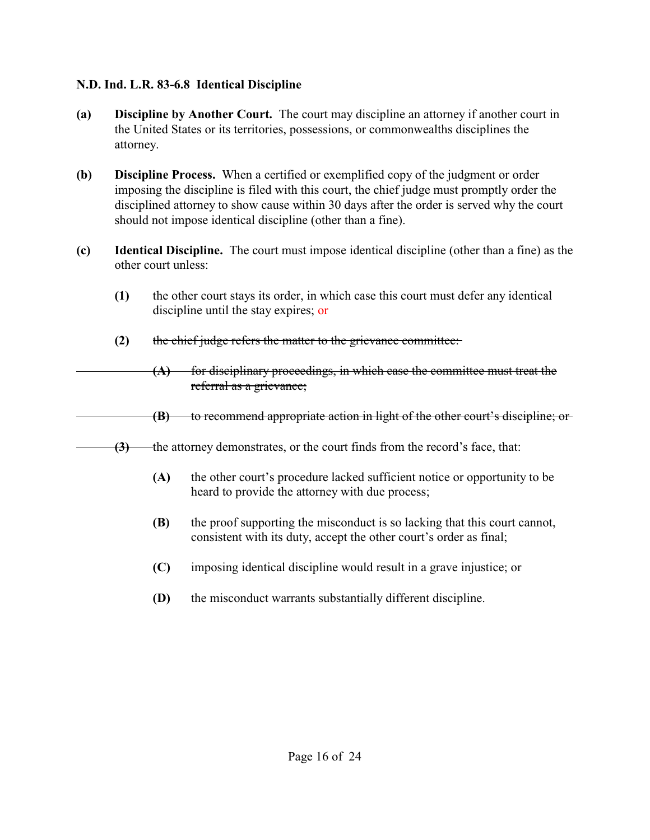#### **N.D. Ind. L.R. 83-6.8 Identical Discipline**

- **(a) Discipline by Another Court.** The court may discipline an attorney if another court in the United States or its territories, possessions, or commonwealths disciplines the attorney.
- **(b) Discipline Process.** When a certified or exemplified copy of the judgment or order imposing the discipline is filed with this court, the chief judge must promptly order the disciplined attorney to show cause within 30 days after the order is served why the court should not impose identical discipline (other than a fine).
- **(c) Identical Discipline.** The court must impose identical discipline (other than a fine) as the other court unless:
	- **(1)** the other court stays its order, in which case this court must defer any identical discipline until the stay expires; or
	- **(2)** the chief judge refers the matter to the grievance committee:
	- **(A)** for disciplinary proceedings, in which case the committee must treat the referral as a grievance;
		- **(B)** to recommend appropriate action in light of the other court's discipline; or
- **(3)** the attorney demonstrates, or the court finds from the record's face, that:
	- **(A)** the other court's procedure lacked sufficient notice or opportunity to be heard to provide the attorney with due process;
	- **(B)** the proof supporting the misconduct is so lacking that this court cannot, consistent with its duty, accept the other court's order as final;
	- **(C)** imposing identical discipline would result in a grave injustice; or
	- **(D)** the misconduct warrants substantially different discipline.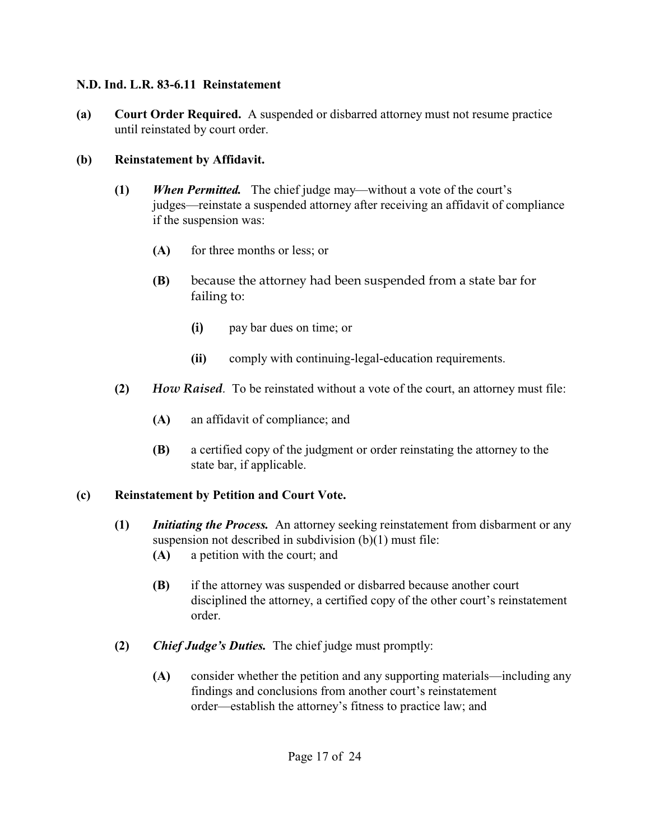#### **N.D. Ind. L.R. 83-6.11 Reinstatement**

**(a) Court Order Required.** A suspended or disbarred attorney must not resume practice until reinstated by court order.

#### **(b) Reinstatement by Affidavit.**

- **(1)** *When Permitted.* The chief judge may—without a vote of the court's judges—reinstate a suspended attorney after receiving an affidavit of compliance if the suspension was:
	- **(A)** for three months or less; or
	- **(B)** because the attorney had been suspended from a state bar for failing to:
		- **(i)** pay bar dues on time; or
		- **(ii)** comply with continuing-legal-education requirements.
- **(2)** *How Raised.* To be reinstated without a vote of the court, an attorney must file:
	- **(A)** an affidavit of compliance; and
	- **(B)** a certified copy of the judgment or order reinstating the attorney to the state bar, if applicable.

## **(c) Reinstatement by Petition and Court Vote.**

- **(1)** *Initiating the Process.* An attorney seeking reinstatement from disbarment or any suspension not described in subdivision (b)(1) must file: **(A)** a petition with the court; and
	-
	- **(B)** if the attorney was suspended or disbarred because another court disciplined the attorney, a certified copy of the other court's reinstatement order.
- **(2)** *Chief Judge's Duties.* The chief judge must promptly:
	- **(A)** consider whether the petition and any supporting materials—including any findings and conclusions from another court's reinstatement order—establish the attorney's fitness to practice law; and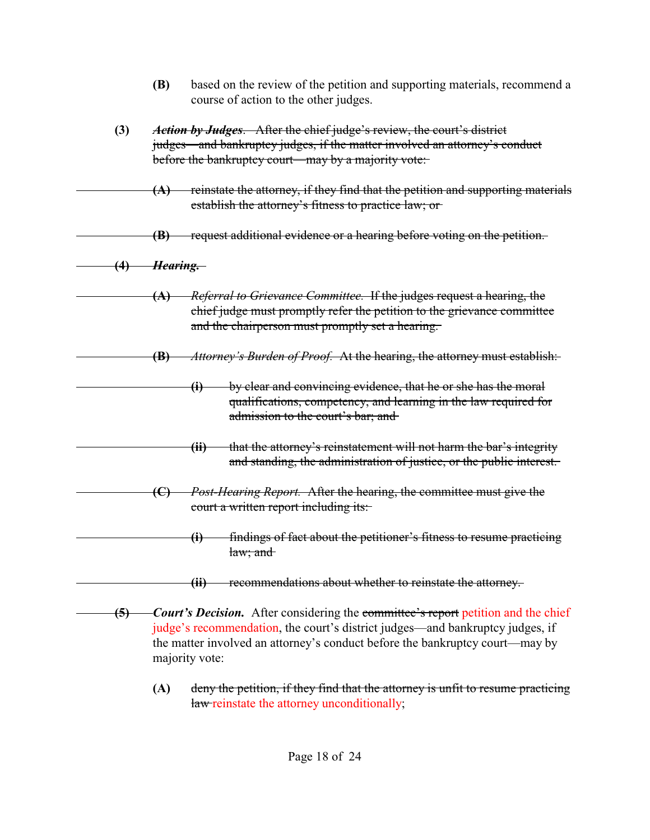|                  | (B)<br>based on the review of the petition and supporting materials, recommend a<br>course of action to the other judges.                                                                                                                                            |  |
|------------------|----------------------------------------------------------------------------------------------------------------------------------------------------------------------------------------------------------------------------------------------------------------------|--|
| (3)              | <b>Action by Judges.</b> After the chief judge's review, the court's district<br>judges—and bankruptcy judges, if the matter involved an attorney's conduct<br>before the bankruptcy court—may by a majority vote:                                                   |  |
|                  | reinstate the attorney, if they find that the petition and supporting materials<br>(A)<br>establish the attorney's fitness to practice law; or                                                                                                                       |  |
|                  | request additional evidence or a hearing before voting on the petition.<br>$\left( \mathbf{B}\right)$                                                                                                                                                                |  |
| $\left(4\right)$ | <del>Hearing.</del>                                                                                                                                                                                                                                                  |  |
|                  | <i>Referral to Grievance Committee.</i> If the judges request a hearing, the<br>(A)<br>chief judge must promptly refer the petition to the grievance committee<br>and the chairperson must promptly set a hearing.                                                   |  |
|                  | Attorney's Burden of Proof. At the hearing, the attorney must establish:<br>$\left( \mathbf{B}\right)$                                                                                                                                                               |  |
|                  | by clear and convincing evidence, that he or she has the moral<br><del>(i)</del><br>qualifications, competency, and learning in the law required for<br>admission to the court's bar; and                                                                            |  |
|                  | that the attorney's reinstatement will not harm the bar's integrity<br><del>(ii)</del><br>and standing, the administration of justice, or the public interest.                                                                                                       |  |
|                  | Post-Hearing Report. After the hearing, the committee must give the<br>(C)<br>court a written report including its:                                                                                                                                                  |  |
|                  | findings of fact about the petitioner's fitness to resume practicing<br><del>(i)</del><br>law; and                                                                                                                                                                   |  |
|                  | recommendations about whether to reinstate the attorney.<br>(ii)                                                                                                                                                                                                     |  |
| (5)              | Court's Decision. After considering the committee's report petition and the chief<br>judge's recommendation, the court's district judges—and bankruptcy judges, if<br>the matter involved an attorney's conduct before the bankruptcy court—may by<br>majority vote: |  |

**(A)** deny the petition, if they find that the attorney is unfit to resume practicing law reinstate the attorney unconditionally;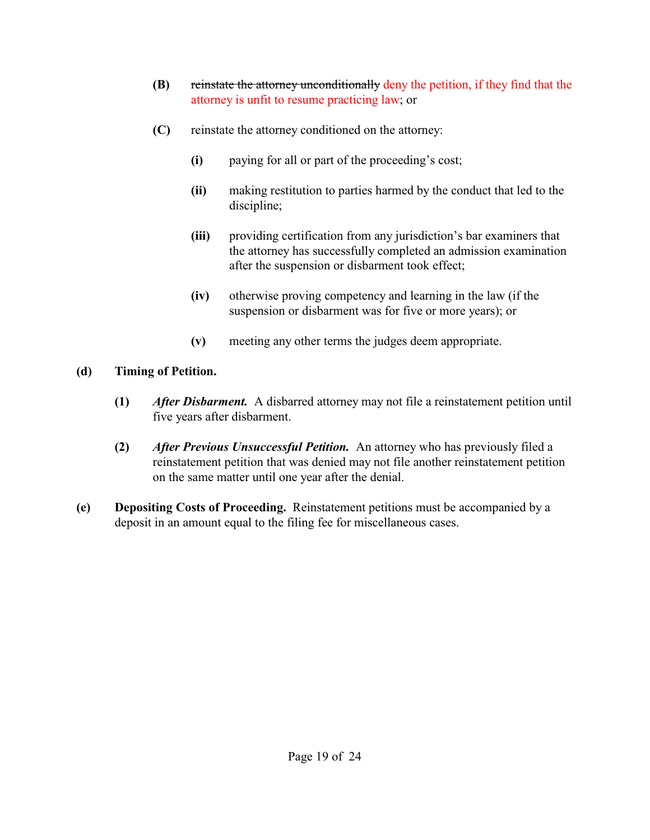- **(B)** reinstate the attorney unconditionally deny the petition, if they find that the attorney is unfit to resume practicing law; or
- **(C)** reinstate the attorney conditioned on the attorney:
	- **(i)** paying for all or part of the proceeding's cost;
	- **(ii)** making restitution to parties harmed by the conduct that led to the discipline;
	- **(iii)** providing certification from any jurisdiction's bar examiners that the attorney has successfully completed an admission examination after the suspension or disbarment took effect;
	- **(iv)** otherwise proving competency and learning in the law (if the suspension or disbarment was for five or more years); or
	- **(v)** meeting any other terms the judges deem appropriate.

#### **(d) Timing of Petition.**

- **(1)** *After Disbarment.* A disbarred attorney may not file a reinstatement petition until five years after disbarment.
- **(2)** *After Previous Unsuccessful Petition.* An attorney who has previously filed a reinstatement petition that was denied may not file another reinstatement petition on the same matter until one year after the denial.
- **(e) Depositing Costs of Proceeding.** Reinstatement petitions must be accompanied by a deposit in an amount equal to the filing fee for miscellaneous cases.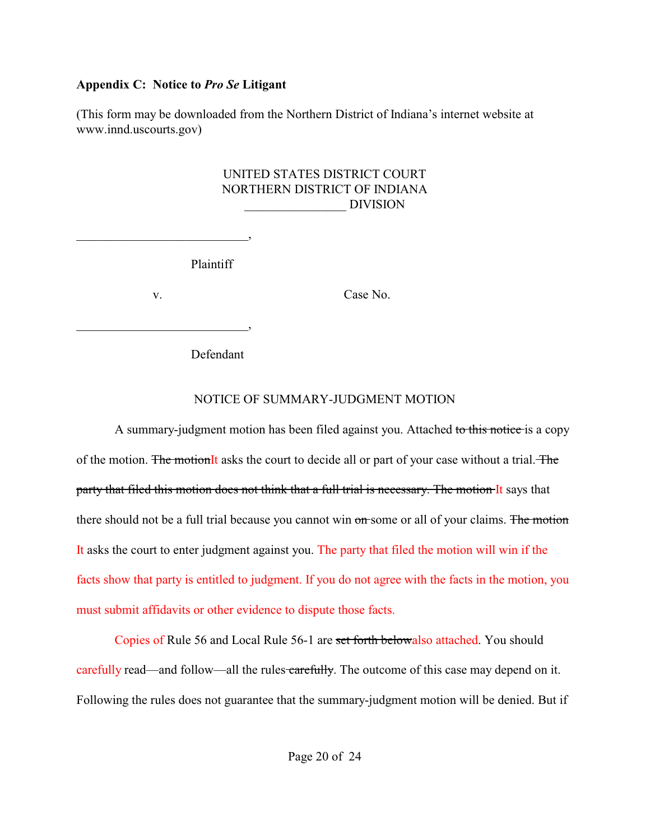#### **Appendix C: Notice to** *Pro Se* **Litigant**

(This form may be downloaded from the Northern District of Indiana's internet website at www.innd.uscourts.gov)

#### UNITED STATES DISTRICT COURT NORTHERN DISTRICT OF INDIANA \_\_\_\_\_\_\_\_\_\_\_\_\_\_\_\_ DIVISION

Plaintiff

\_\_\_\_\_\_\_\_\_\_\_\_\_\_\_\_\_\_\_\_\_\_\_\_\_\_\_,

\_\_\_\_\_\_\_\_\_\_\_\_\_\_\_\_\_\_\_\_\_\_\_\_\_\_\_,

v. Case No.

Defendant

## NOTICE OF SUMMARY-JUDGMENT MOTION

A summary-judgment motion has been filed against you. Attached to this notice is a copy of the motion. The motionIt asks the court to decide all or part of your case without a trial. The party that filed this motion does not think that a full trial is necessary. The motion It says that there should not be a full trial because you cannot win on some or all of your claims. The motion It asks the court to enter judgment against you. The party that filed the motion will win if the facts show that party is entitled to judgment. If you do not agree with the facts in the motion, you must submit affidavits or other evidence to dispute those facts.

Copies of Rule 56 and Local Rule 56-1 are set forth belowalso attached. You should carefully read—and follow—all the rules carefully. The outcome of this case may depend on it. Following the rules does not guarantee that the summary-judgment motion will be denied. But if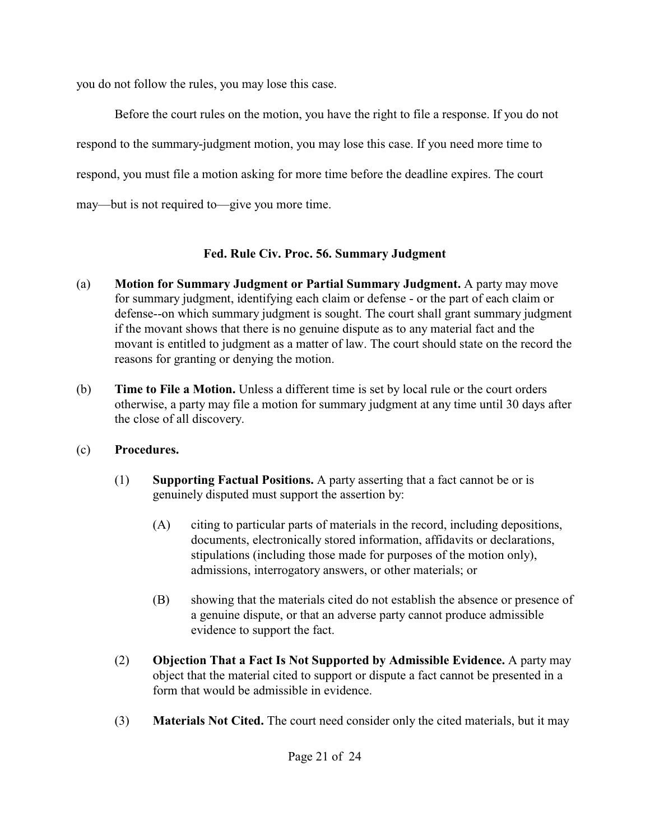you do not follow the rules, you may lose this case.

Before the court rules on the motion, you have the right to file a response. If you do not respond to the summary-judgment motion, you may lose this case. If you need more time to respond, you must file a motion asking for more time before the deadline expires. The court may—but is not required to—give you more time.

## **Fed. Rule Civ. Proc. 56. Summary Judgment**

- (a) **Motion for Summary Judgment or Partial Summary Judgment.** A party may move for summary judgment, identifying each claim or defense - or the part of each claim or defense--on which summary judgment is sought. The court shall grant summary judgment if the movant shows that there is no genuine dispute as to any material fact and the movant is entitled to judgment as a matter of law. The court should state on the record the reasons for granting or denying the motion.
- (b) **Time to File a Motion.** Unless a different time is set by local rule or the court orders otherwise, a party may file a motion for summary judgment at any time until 30 days after the close of all discovery.

## (c) **Procedures.**

- (1) **Supporting Factual Positions.** A party asserting that a fact cannot be or is genuinely disputed must support the assertion by:
	- (A) citing to particular parts of materials in the record, including depositions, documents, electronically stored information, affidavits or declarations, stipulations (including those made for purposes of the motion only), admissions, interrogatory answers, or other materials; or
	- (B) showing that the materials cited do not establish the absence or presence of a genuine dispute, or that an adverse party cannot produce admissible evidence to support the fact.
- (2) **Objection That a Fact Is Not Supported by Admissible Evidence.** A party may object that the material cited to support or dispute a fact cannot be presented in a form that would be admissible in evidence.
- (3) **Materials Not Cited.** The court need consider only the cited materials, but it may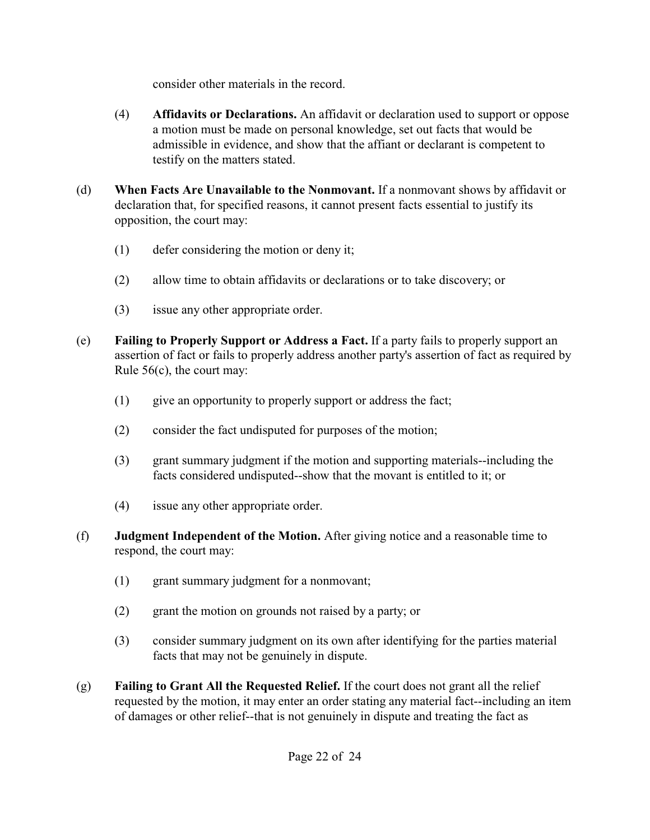consider other materials in the record.

- (4) **Affidavits or Declarations.** An affidavit or declaration used to support or oppose a motion must be made on personal knowledge, set out facts that would be admissible in evidence, and show that the affiant or declarant is competent to testify on the matters stated.
- (d) **When Facts Are Unavailable to the Nonmovant.** If a nonmovant shows by affidavit or declaration that, for specified reasons, it cannot present facts essential to justify its opposition, the court may:
	- (1) defer considering the motion or deny it;
	- (2) allow time to obtain affidavits or declarations or to take discovery; or
	- (3) issue any other appropriate order.
- (e) **Failing to Properly Support or Address a Fact.** If a party fails to properly support an assertion of fact or fails to properly address another party's assertion of fact as required by Rule 56(c), the court may:
	- (1) give an opportunity to properly support or address the fact;
	- (2) consider the fact undisputed for purposes of the motion;
	- (3) grant summary judgment if the motion and supporting materials--including the facts considered undisputed--show that the movant is entitled to it; or
	- (4) issue any other appropriate order.
- (f) **Judgment Independent of the Motion.** After giving notice and a reasonable time to respond, the court may:
	- (1) grant summary judgment for a nonmovant;
	- (2) grant the motion on grounds not raised by a party; or
	- (3) consider summary judgment on its own after identifying for the parties material facts that may not be genuinely in dispute.
- (g) **Failing to Grant All the Requested Relief.** If the court does not grant all the relief requested by the motion, it may enter an order stating any material fact--including an item of damages or other relief--that is not genuinely in dispute and treating the fact as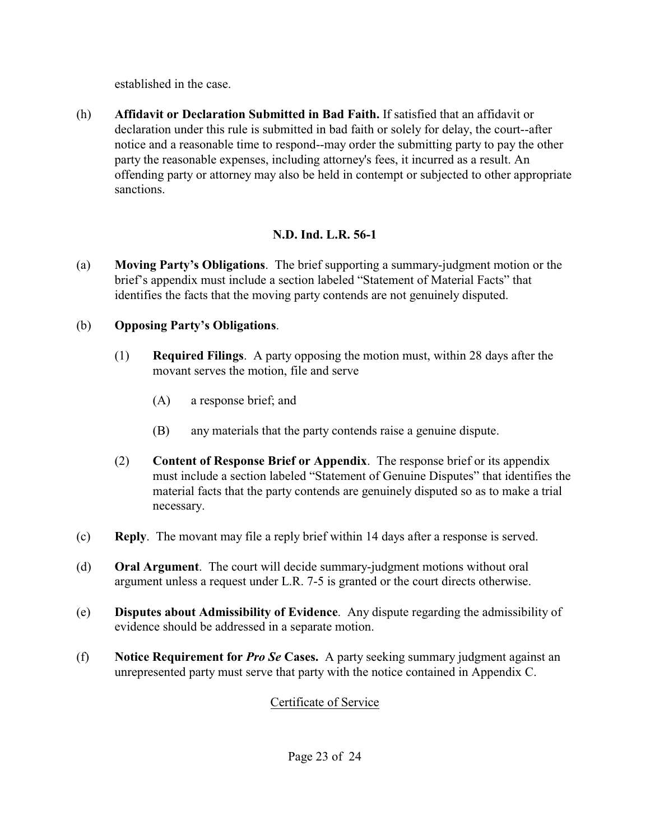established in the case.

(h) **Affidavit or Declaration Submitted in Bad Faith.** If satisfied that an affidavit or declaration under this rule is submitted in bad faith or solely for delay, the court--after notice and a reasonable time to respond--may order the submitting party to pay the other party the reasonable expenses, including attorney's fees, it incurred as a result. An offending party or attorney may also be held in contempt or subjected to other appropriate sanctions.

#### **N.D. Ind. L.R. 56-1**

(a) **Moving Party's Obligations**. The brief supporting a summary-judgment motion or the brief's appendix must include a section labeled "Statement of Material Facts" that identifies the facts that the moving party contends are not genuinely disputed.

## (b) **Opposing Party's Obligations**.

- (1) **Required Filings**. A party opposing the motion must, within 28 days after the movant serves the motion, file and serve
	- (A) a response brief; and
	- (B) any materials that the party contends raise a genuine dispute.
- (2) **Content of Response Brief or Appendix**. The response brief or its appendix must include a section labeled "Statement of Genuine Disputes" that identifies the material facts that the party contends are genuinely disputed so as to make a trial necessary.
- (c) **Reply**. The movant may file a reply brief within 14 days after a response is served.
- (d) **Oral Argument**. The court will decide summary-judgment motions without oral argument unless a request under L.R. 7-5 is granted or the court directs otherwise.
- (e) **Disputes about Admissibility of Evidence**. Any dispute regarding the admissibility of evidence should be addressed in a separate motion.
- (f) **Notice Requirement for** *Pro Se* **Cases.** A party seeking summary judgment against an unrepresented party must serve that party with the notice contained in Appendix C.

## Certificate of Service